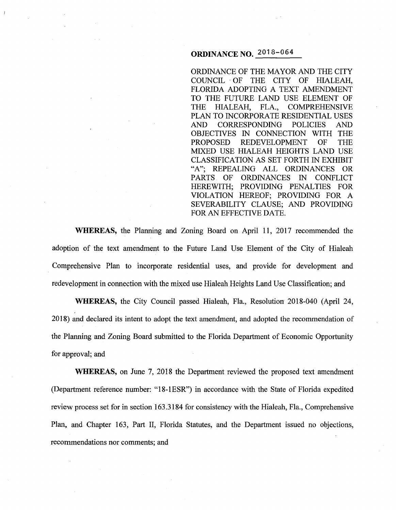# **ORDINANCE NO.** 2018-064

ORDINANCE OF THE MAYOR AND THE CITY COUNCIL · OF THE CITY OF HIALEAH, FLORIDA ADOPTING A TEXT AMENDMENT TO THE FUTURE LAND USE ELEMENT OF THE HIALEAH, FLA., COMPREHENSIVE PLAN TO INCORPORATE RESIDENTIAL USES AND CORRESPONDING POLICIES AND OBJECTIVES IN CONNECTION WITH THE PROPOSED REDEVELOPMENT OF THE MIXED USE HIALEAH HEIGHTS LAND USE CLASSIFICATION AS SET FORTH IN EXHIBIT "A"; REPEALING ALL ORDINANCES OR PARTS OF ORDINANCES IN CONFLICT HEREWITH: PROVIDING PENALTIES FOR VIOLATION HEREOF; PROVIDING FOR A SEVERABILITY CLAUSE; AND PROVIDING FOR AN EFFECTIVE DATE.

**WHEREAS,** the Planning and Zoning Board on April 11, 2017 recommended the adoption of the text amendment to the Future Land Use Element of the City of Hialeah Comprehensive Plan to incorporate residential uses, and provide for development and redevelopment in connection with the mixed use Hialeah Heights Land Use Classification; and

**WHEREAS,** the City Council passed Hialeah, Fla., Resolution: 2018-040 (April 24, 2018) and declared its intent to adopt the text amendment, and adopted the recommendation of the Planning and Zoning Board submitted to the Florida Department of Economic Opportunity for approval; and

**WHEREAS,** on June 7, 2018 the Department reviewed the proposed text amendment (Department reference number: "18-1ESR") in accordance with the State of Florida expedited review process set for in section 163.3184 for consistency with the Hialeah, Fla., Comprehensive Plan, and Chapter 163, Part II, Florida Statutes, and the Department issued no objections, recommendations nor comments; and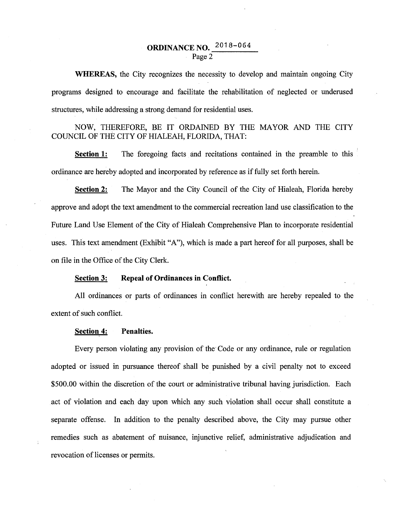# **ORDINANCE NO.**  $2018-064$ Page 2

**WHEREAS,** the City recognizes the necessity to develop and maintain ongoing City programs designed to encourage and facilitate the rehabilitation of neglected or underused structures, while addressing a strong demand for residential uses.

NOW, THEREFORE, BE IT ORDAINED BY THE MAYOR AND THE CITY COUNCIL OF THE CITY OF HIALEAH, FLORIDA, THAT:

**Section 1:** The foregoing facts and recitations contained in the preamble to this ordinance are hereby adopted and incorporated by reference as if fully set forth herein.

**Section 2:** The Mayor and the City Council of the City of Hialeah, Florida hereby approve and adopt the text amendment to the commercial recreation land use classification to the Future Land Use Element of the City of Hialeah Comprehensive Plan to incorporate residential uses. This text amendment (Exhibit "A"), which is made a part hereof for all purposes, shall be on file in the Office of the City Clerk.

#### **Section 3: Repeal of Ordinances in Conflict.**

All ordinances or parts of ordinances in conflict herewith are hereby repealed to the extent of such conflict.

#### **Section 4: Penalties.**

Every person violating any provision of the· Code or any ordinance, rule or regulation adopted or issued in pursuance thereof shall be punished by a civil penalty not to exceed \$500.00 within the discretion of the court or administrative tribunal having jurisdiction. Each act of violation and each day upon which any such violation shall occur shall constitute a separate offense. In addition to the penalty described above, the City may pursue other remedies such as abatement of nuisance, injunctive relief, administrative adjudication and revocation of licenses or permits.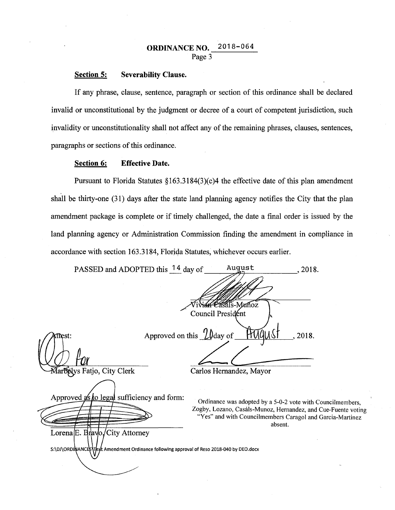## **ORDINANCE NO.** 2018-064 Page 3

#### **Section 5: Severability Clause.**

If any phrase, clause, sentence, paragraph or section of this ordinance shall be declared invalid or unconstitutional by the judgment or decree of a court of competent jurisdiction, such invalidity or unconstitutionality shall not affect any of the remaining phrases, clauses, sentences, paragraphs or sections of this ordinance.

#### **Section 6: Effective Date.**

Pursuant to Florida Statutes §163.3184(3)(c)4 the effective date of this plan amendment shall be thirty-one (31) days after the state land planning agency notifies the City that the plan amendment package is complete or if timely challenged, the date a final order is issued by the land planning agency or Administration Commission finding the amendment in compliance in accordance with section 163.3184, Florjda Statutes, whichever occurs earlier.

PASSED and ADOPTED this 14 day of August 2018. als-Muñoz Council President Approved on this !lJday of\_---'-'-~-~-"-'--=...:\_ \_\_ , 2018. :test:  $LVday$  of  $\overline{H}VlqNSI$ , 2018. Marbelys Fatjo, City Clerk Carlos Hernandez, Approved as to legal sufficiency and form: Ordinance was adopted by a 5-0-2 vote with Councilmembers, Zogby, Lozano, Casáls-Munoz, Hernandez, and Cue-Fuente voting "Yes" and with Councilmembers Caragol and Garcia-Martinez absent. Lorena E. Brayo/City Attorney S:\DJ\ORDINANCES\T t Amendment Ordinance following approval of Reso 2018-040 by DEO.docx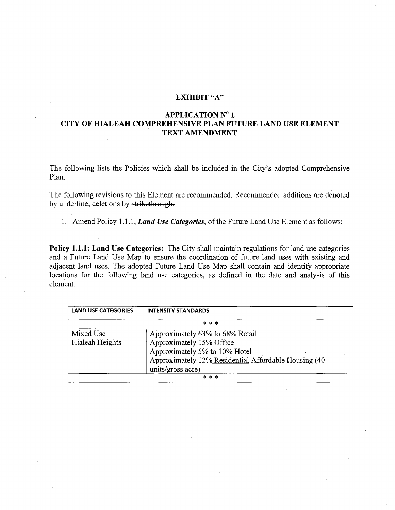## EXHIBIT "A"

### APPLICATION N° 1 CITY OF HIALEAH COMPREHENSIVE PLAN FUTURE LAND USE ELEMENT TEXT AMENDMENT

The following lists the Policies which shall be included in the City's adopted Comprehensive Plan.

The following revisions to this Element are recommended. Recommended additions are denoted by underline; deletions by strikethrough.

1. Amend Policy 1.1.1, *Land Use Categories,* of the Future Land Use Element as follows:

Policy 1.1.1: Land Use Categories: The City shall maintain regulations for land use categories and a Future Land Use Map to ensure the coordination of future land uses with existing and adjacent land uses. The adopted Future Land Use Map shall contain and identify appropriate locations for the following land use categories, as defined in the date and analysis of this element.

| <b>LAND USE CATEGORIES</b> | <b>INTENSITY STANDARDS</b>                           |
|----------------------------|------------------------------------------------------|
|                            | * * *                                                |
| Mixed Use                  | Approximately 63% to 68% Retail                      |
| Hialeah Heights            | Approximately 15% Office                             |
|                            | Approximately 5% to 10% Hotel                        |
|                            | Approximately 12% Residential Affordable Housing (40 |
|                            | units/gross acre)                                    |
|                            | * * *                                                |